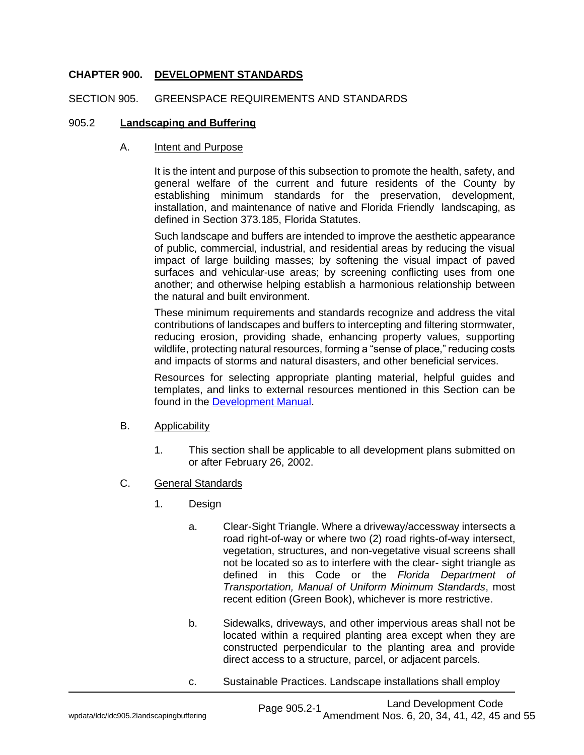# **CHAPTER 900. DEVELOPMENT STANDARDS**

### SECTION 905. GREENSPACE REQUIREMENTS AND STANDARDS

### 905.2 **Landscaping and Buffering**

#### A. Intent and Purpose

It is the intent and purpose of this subsection to promote the health, safety, and general welfare of the current and future residents of the County by establishing minimum standards for the preservation, development, installation, and maintenance of native and Florida Friendly landscaping, as defined in Section 373.185, Florida Statutes.

Such landscape and buffers are intended to improve the aesthetic appearance of public, commercial, industrial, and residential areas by reducing the visual impact of large building masses; by softening the visual impact of paved surfaces and vehicular-use areas; by screening conflicting uses from one another; and otherwise helping establish a harmonious relationship between the natural and built environment.

These minimum requirements and standards recognize and address the vital contributions of landscapes and buffers to intercepting and filtering stormwater, reducing erosion, providing shade, enhancing property values, supporting wildlife, protecting natural resources, forming a "sense of place," reducing costs and impacts of storms and natural disasters, and other beneficial services.

Resources for selecting appropriate planting material, helpful guides and templates, and links to external resources mentioned in this Section can be found in the [Development Manual.](https://www.pascocountyfl.net/DocumentCenter/View/57888/Development-Manual)

#### B. Applicability

- 1. This section shall be applicable to all development plans submitted on or after February 26, 2002.
- C. General Standards
	- 1. Design
		- a. Clear-Sight Triangle. Where a driveway/accessway intersects a road right-of-way or where two (2) road rights-of-way intersect, vegetation, structures, and non-vegetative visual screens shall not be located so as to interfere with the clear- sight triangle as defined in this Code or the *Florida Department of Transportation, Manual of Uniform Minimum Standards*, most recent edition (Green Book), whichever is more restrictive.
		- b. Sidewalks, driveways, and other impervious areas shall not be located within a required planting area except when they are constructed perpendicular to the planting area and provide direct access to a structure, parcel, or adjacent parcels.
		- c. Sustainable Practices. Landscape installations shall employ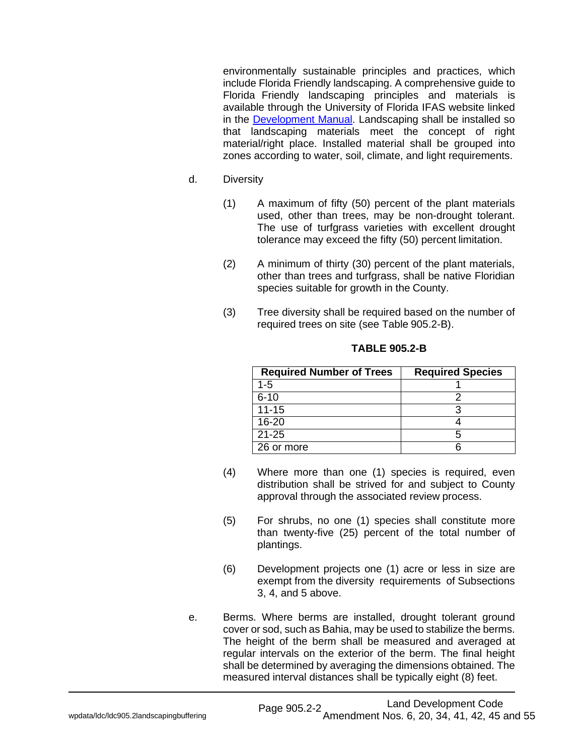environmentally sustainable principles and practices, which include Florida Friendly landscaping. A comprehensive guide to Florida Friendly landscaping principles and materials is available [through](http://www.floridayards.org/) the University of Florida IFAS website linked in the **Development Manual**. Landscaping shall be installed so that landscaping materials meet the concept of right material/right place. Installed material shall be grouped into zones according to water, soil, climate, and light requirements.

- d. Diversity
	- (1) A maximum of fifty (50) percent of the plant materials used, other than trees, may be non-drought tolerant. The use of turfgrass varieties with excellent drought tolerance may exceed the fifty (50) percent limitation.
	- (2) A minimum of thirty (30) percent of the plant materials, other than trees and turfgrass, shall be native Floridian species suitable for growth in the County.
	- (3) Tree diversity shall be required based on the number of required trees on site (see Table 905.2-B).

| <b>Required Number of Trees</b> | <b>Required Species</b> |
|---------------------------------|-------------------------|
| $1 - 5$                         |                         |
| $6 - 10$                        |                         |
| $11 - 15$                       |                         |
| $16 - 20$                       |                         |
| $21 - 25$                       |                         |
| 26 or more                      |                         |

#### **TABLE 905.2-B**

- (4) Where more than one (1) species is required, even distribution shall be strived for and subject to County approval through the associated review process.
- (5) For shrubs, no one (1) species shall constitute more than twenty-five (25) percent of the total number of plantings.
- (6) Development projects one (1) acre or less in size are exempt from the diversity requirements of Subsections 3, 4, and 5 above.
- e. Berms. Where berms are installed, drought tolerant ground cover or sod, such as Bahia, may be used to stabilize the berms. The height of the berm shall be measured and averaged at regular intervals on the exterior of the berm. The final height shall be determined by averaging the dimensions obtained. The measured interval distances shall be typically eight (8) feet.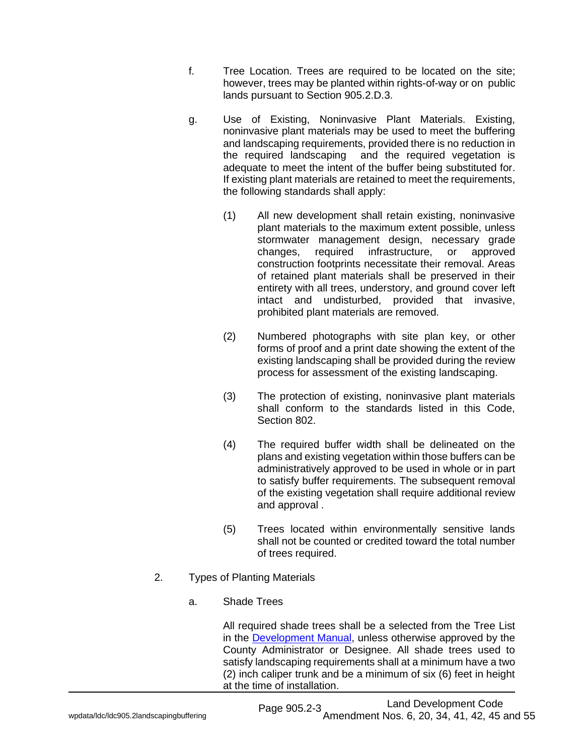- f. Tree Location. Trees are required to be located on the site; however, trees may be planted within rights-of-way or on public lands pursuant to Section 905.2.D.3.
- g. Use of Existing, Noninvasive Plant Materials. Existing, noninvasive plant materials may be used to meet the buffering and landscaping requirements, provided there is no reduction in the required landscaping and the required vegetation is adequate to meet the intent of the buffer being substituted for. If existing plant materials are retained to meet the requirements, the following standards shall apply:
	- (1) All new development shall retain existing, noninvasive plant materials to the maximum extent possible, unless stormwater management design, necessary grade changes, required infrastructure, or approved construction footprints necessitate their removal. Areas of retained plant materials shall be preserved in their entirety with all trees, understory, and ground cover left intact and undisturbed, provided that invasive, prohibited plant materials are removed.
	- (2) Numbered photographs with site plan key, or other forms of proof and a print date showing the extent of the existing landscaping shall be provided during the review process for assessment of the existing landscaping.
	- (3) The protection of existing, noninvasive plant materials shall conform to the standards listed in this Code, Section 802.
	- (4) The required buffer width shall be delineated on the plans and existing vegetation within those buffers can be administratively approved to be used in whole or in part to satisfy buffer requirements. The subsequent removal of the existing vegetation shall require additional review and approval .
	- (5) Trees located within environmentally sensitive lands shall not be counted or credited toward the total number of trees required.
- 2. Types of Planting Materials
	- a. Shade Trees

All required shade trees shall be a selected from the Tree List in the [Development Manual,](https://www.pascocountyfl.net/DocumentCenter/View/57888/Development-Manual) unless otherwise approved by the County Administrator or Designee. All shade trees used to satisfy landscaping requirements shall at a minimum have a two (2) inch caliper trunk and be a minimum of six (6) feet in height at the time of installation.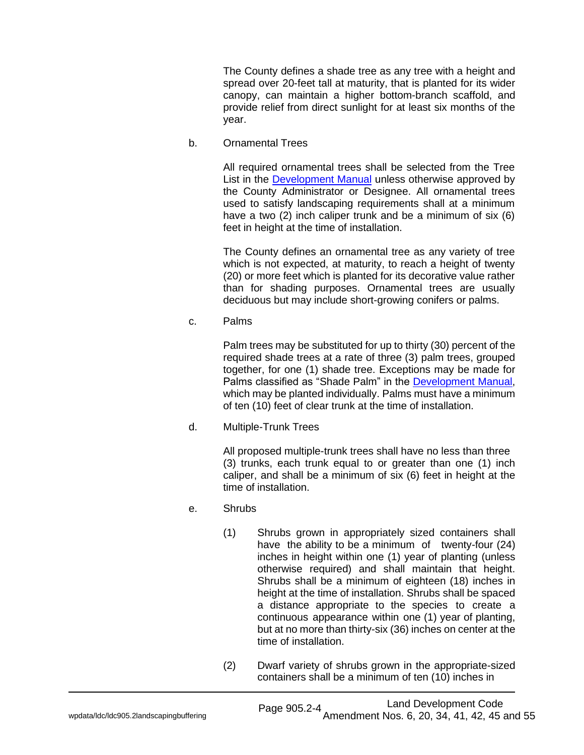The County defines a shade tree as any tree with a height and spread over 20-feet tall at maturity, that is planted for its wider canopy, can maintain a higher bottom-branch scaffold, and provide relief from direct sunlight for at least six months of the year.

b. Ornamental Trees

All required ornamental trees shall be selected from the Tree List in the [Development](https://www.pascocountyfl.net/DocumentCenter/View/57888/Development-Manual) Manual unless otherwise approved by the County Administrator or Designee. All ornamental trees used to satisfy landscaping requirements shall at a minimum have a two (2) inch caliper trunk and be a minimum of six (6) feet in height at the time of installation.

The County defines an ornamental tree as any variety of tree which is not expected, at maturity, to reach a height of twenty (20) or more feet which is planted for its decorative value rather than for shading purposes. Ornamental trees are usually deciduous but may include short-growing conifers or palms.

c. Palms

Palm trees may be substituted for up to thirty (30) percent of the required shade trees at a rate of three (3) palm trees, grouped together, for one (1) shade tree. Exceptions may be made for Palms classified as "Shade Palm" in the [Development](https://www.pascocountyfl.net/DocumentCenter/View/57888/Development-Manual) Manual, which may be planted individually. Palms must have a minimum of ten (10) feet of clear trunk at the time of installation.

d. Multiple-Trunk Trees

All proposed multiple-trunk trees shall have no less than three (3) trunks, each trunk equal to or greater than one (1) inch caliper, and shall be a minimum of six (6) feet in height at the time of installation.

- e. Shrubs
	- (1) Shrubs grown in appropriately sized containers shall have the ability to be a minimum of twenty-four (24) inches in height within one (1) year of planting (unless otherwise required) and shall maintain that height. Shrubs shall be a minimum of eighteen (18) inches in height at the time of installation. Shrubs shall be spaced a distance appropriate to the species to create a continuous appearance within one (1) year of planting, but at no more than thirty-six (36) inches on center at the time of installation.
	- (2) Dwarf variety of shrubs grown in the appropriate-sized containers shall be a minimum of ten (10) inches in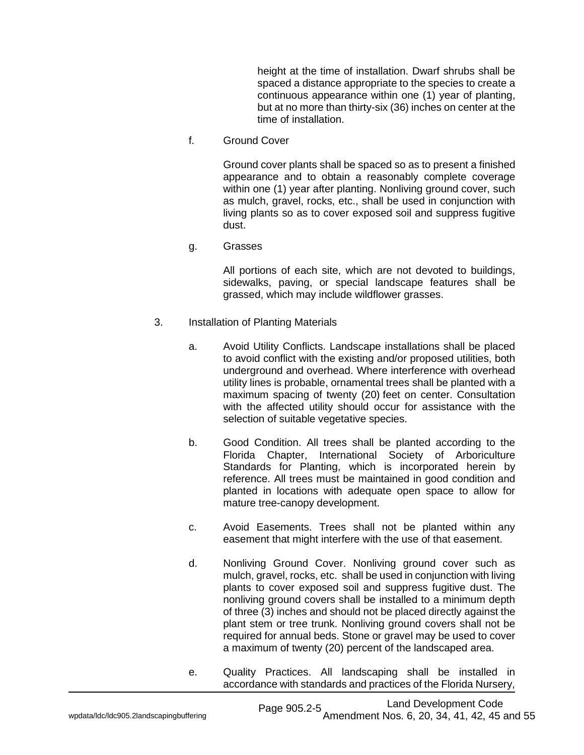height at the time of installation. Dwarf shrubs shall be spaced a distance appropriate to the species to create a continuous appearance within one (1) year of planting, but at no more than thirty-six (36) inches on center at the time of installation.

f. Ground Cover

Ground cover plants shall be spaced so as to present a finished appearance and to obtain a reasonably complete coverage within one (1) year after planting. Nonliving ground cover, such as mulch, gravel, rocks, etc., shall be used in conjunction with living plants so as to cover exposed soil and suppress fugitive dust.

g. Grasses

All portions of each site, which are not devoted to buildings, sidewalks, paving, or special landscape features shall be grassed, which may include wildflower grasses.

- 3. Installation of Planting Materials
	- a. Avoid Utility Conflicts. Landscape installations shall be placed to avoid conflict with the existing and/or proposed utilities, both underground and overhead. Where interference with overhead utility lines is probable, ornamental trees shall be planted with a maximum spacing of twenty (20) feet on center. Consultation with the affected utility should occur for assistance with the selection of suitable vegetative species.
	- b. Good Condition. All trees shall be planted according to the Florida Chapter, International Society of Arboriculture Standards for Planting, which is incorporated herein by reference. All trees must be maintained in good condition and planted in locations with adequate open space to allow for mature tree-canopy development.
	- c. Avoid Easements. Trees shall not be planted within any easement that might interfere with the use of that easement.
	- d. Nonliving Ground Cover. Nonliving ground cover such as mulch, gravel, rocks, etc. shall be used in conjunction with living plants to cover exposed soil and suppress fugitive dust. The nonliving ground covers shall be installed to a minimum depth of three (3) inches and should not be placed directly against the plant stem or tree trunk. Nonliving ground covers shall not be required for annual beds. Stone or gravel may be used to cover a maximum of twenty (20) percent of the landscaped area.
	- e. Quality Practices. All landscaping shall be installed in accordance with standards and practices of the Florida Nursery,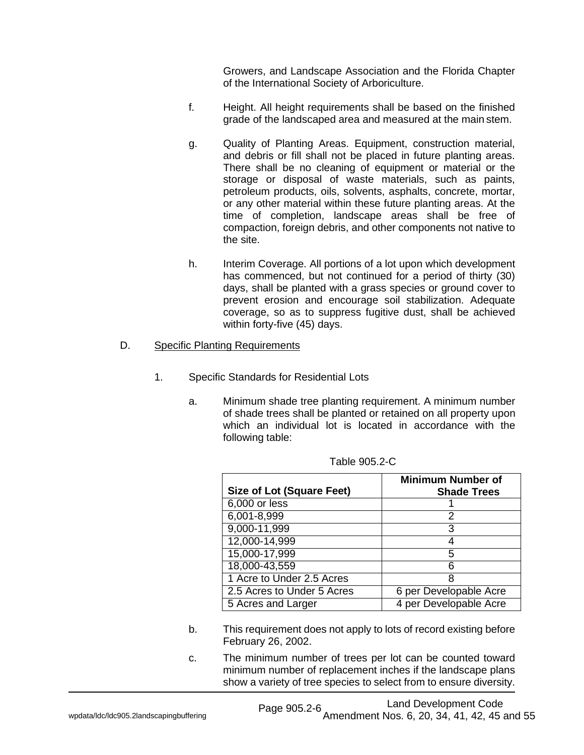Growers, and Landscape Association and the Florida Chapter of the International Society of Arboriculture.

- f. Height. All height requirements shall be based on the finished grade of the landscaped area and measured at the main stem.
- g. Quality of Planting Areas. Equipment, construction material, and debris or fill shall not be placed in future planting areas. There shall be no cleaning of equipment or material or the storage or disposal of waste materials, such as paints, petroleum products, oils, solvents, asphalts, concrete, mortar, or any other material within these future planting areas. At the time of completion, landscape areas shall be free of compaction, foreign debris, and other components not native to the site.
- h. Interim Coverage. All portions of a lot upon which development has commenced, but not continued for a period of thirty (30) days, shall be planted with a grass species or ground cover to prevent erosion and encourage soil stabilization. Adequate coverage, so as to suppress fugitive dust, shall be achieved within forty-five (45) days.

## D. Specific Planting Requirements

- 1. Specific Standards for Residential Lots
	- a. Minimum shade tree planting requirement. A minimum number of shade trees shall be planted or retained on all property upon which an individual lot is located in accordance with the following table:

| <b>Size of Lot (Square Feet)</b> | <b>Minimum Number of</b><br><b>Shade Trees</b> |
|----------------------------------|------------------------------------------------|
| 6,000 or less                    |                                                |
| 6,001-8,999                      | 2                                              |
| 9,000-11,999                     | З                                              |
| 12,000-14,999                    |                                                |
| 15,000-17,999                    | 5                                              |
| 18,000-43,559                    |                                                |
| 1 Acre to Under 2.5 Acres        | 8                                              |
| 2.5 Acres to Under 5 Acres       | 6 per Developable Acre                         |
| 5 Acres and Larger               | 4 per Developable Acre                         |

| Table 905.2-C |  |  |
|---------------|--|--|
|               |  |  |

- b. This requirement does not apply to lots of record existing before February 26, 2002.
- c. The minimum number of trees per lot can be counted toward minimum number of replacement inches if the landscape plans show a variety of tree species to select from to ensure diversity.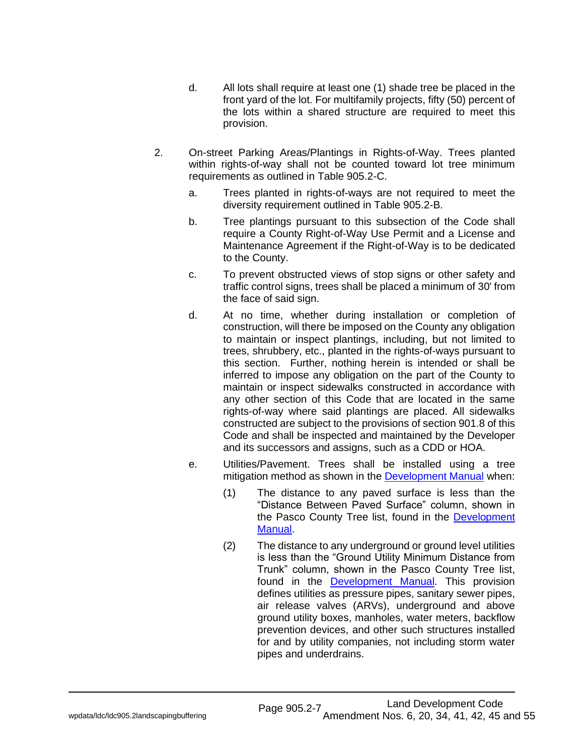- d. All lots shall require at least one (1) shade tree be placed in the front yard of the lot. For multifamily projects, fifty (50) percent of the lots within a shared structure are required to meet this provision.
- 2. On-street Parking Areas/Plantings in Rights-of-Way. Trees planted within rights-of-way shall not be counted toward lot tree minimum requirements as outlined in Table 905.2-C.
	- a. Trees planted in rights-of-ways are not required to meet the diversity requirement outlined in Table 905.2-B.
	- b. Tree plantings pursuant to this subsection of the Code shall require a County Right-of-Way Use Permit and a License and Maintenance Agreement if the Right-of-Way is to be dedicated to the County.
	- c. To prevent obstructed views of stop signs or other safety and traffic control signs, trees shall be placed a minimum of 30' from the face of said sign.
	- d. At no time, whether during installation or completion of construction, will there be imposed on the County any obligation to maintain or inspect plantings, including, but not limited to trees, shrubbery, etc., planted in the rights-of-ways pursuant to this section. Further, nothing herein is intended or shall be inferred to impose any obligation on the part of the County to maintain or inspect sidewalks constructed in accordance with any other section of this Code that are located in the same rights-of-way where said plantings are placed. All sidewalks constructed are subject to the provisions of section 901.8 of this Code and shall be inspected and maintained by the Developer and its successors and assigns, such as a CDD or HOA.
	- e. Utilities/Pavement. Trees shall be installed using a tree mitigation method as shown in the **Development Manual** when:
		- (1) The distance to any paved surface is less than the "Distance Between Paved Surface" column, shown in the Pasco County Tree list, found in the [Development](https://protect-us.mimecast.com/s/sgbhCwpkzXCvlJPyuVpPVq?domain=pascocountyfl.net)  [Manual.](https://protect-us.mimecast.com/s/sgbhCwpkzXCvlJPyuVpPVq?domain=pascocountyfl.net)
		- (2) The distance to any underground or ground level utilities is less than the "Ground Utility Minimum Distance from Trunk" column, shown in the Pasco County Tree list, found in the [Development Manual.](https://protect-us.mimecast.com/s/sgbhCwpkzXCvlJPyuVpPVq?domain=pascocountyfl.net) This provision defines utilities as pressure pipes, sanitary sewer pipes, air release valves (ARVs), underground and above ground utility boxes, manholes, water meters, backflow prevention devices, and other such structures installed for and by utility companies, not including storm water pipes and underdrains.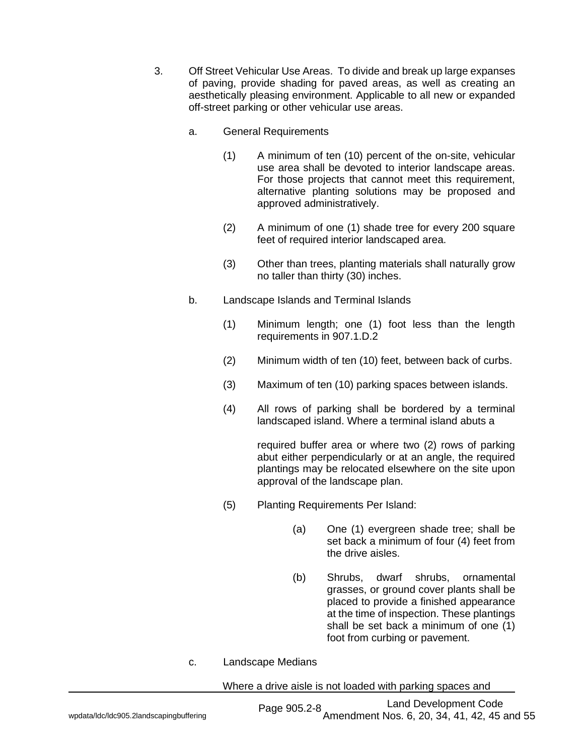- 3. Off Street Vehicular Use Areas. To divide and break up large expanses of paving, provide shading for paved areas, as well as creating an aesthetically pleasing environment. Applicable to all new or expanded off-street parking or other vehicular use areas.
	- a. General Requirements
		- (1) A minimum of ten (10) percent of the on-site, vehicular use area shall be devoted to interior landscape areas. For those projects that cannot meet this requirement, alternative planting solutions may be proposed and approved administratively.
		- (2) A minimum of one (1) shade tree for every 200 square feet of required interior landscaped area.
		- (3) Other than trees, planting materials shall naturally grow no taller than thirty (30) inches.
	- b. Landscape Islands and Terminal Islands
		- (1) Minimum length; one (1) foot less than the length requirements in 907.1.D.2
		- (2) Minimum width of ten (10) feet, between back of curbs.
		- (3) Maximum of ten (10) parking spaces between islands.
		- (4) All rows of parking shall be bordered by a terminal landscaped island. Where a terminal island abuts a

required buffer area or where two (2) rows of parking abut either perpendicularly or at an angle, the required plantings may be relocated elsewhere on the site upon approval of the landscape plan.

- (5) Planting Requirements Per Island:
	- (a) One (1) evergreen shade tree; shall be set back a minimum of four (4) feet from the drive aisles.
	- (b) Shrubs, dwarf shrubs, ornamental grasses, or ground cover plants shall be placed to provide a finished appearance at the time of inspection. These plantings shall be set back a minimum of one (1) foot from curbing or pavement.
- c. Landscape Medians

Where a drive aisle is not loaded with parking spaces and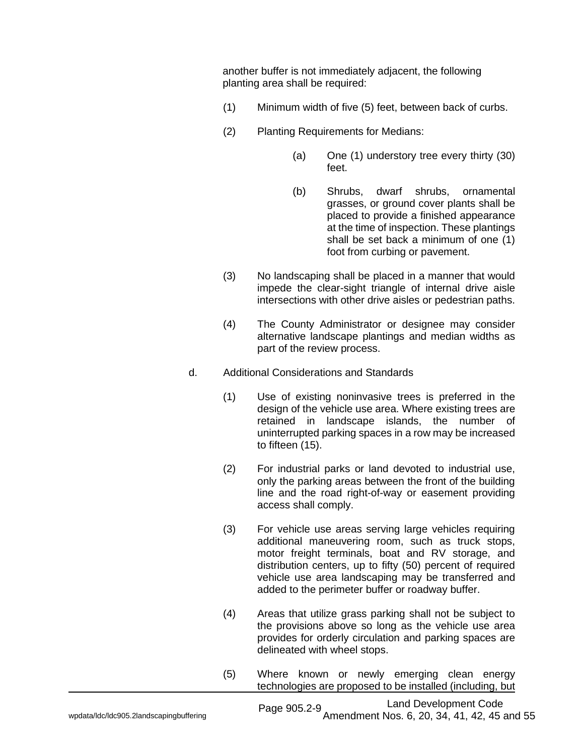another buffer is not immediately adjacent, the following planting area shall be required:

- (1) Minimum width of five (5) feet, between back of curbs.
- (2) Planting Requirements for Medians:
	- (a) One (1) understory tree every thirty (30) feet.
	- (b) Shrubs, dwarf shrubs, ornamental grasses, or ground cover plants shall be placed to provide a finished appearance at the time of inspection. These plantings shall be set back a minimum of one (1) foot from curbing or pavement.
- (3) No landscaping shall be placed in a manner that would impede the clear-sight triangle of internal drive aisle intersections with other drive aisles or pedestrian paths.
- (4) The County Administrator or designee may consider alternative landscape plantings and median widths as part of the review process.
- d. Additional Considerations and Standards
	- (1) Use of existing noninvasive trees is preferred in the design of the vehicle use area. Where existing trees are retained in landscape islands, the number of uninterrupted parking spaces in a row may be increased to fifteen (15).
	- (2) For industrial parks or land devoted to industrial use, only the parking areas between the front of the building line and the road right-of-way or easement providing access shall comply.
	- (3) For vehicle use areas serving large vehicles requiring additional maneuvering room, such as truck stops, motor freight terminals, boat and RV storage, and distribution centers, up to fifty (50) percent of required vehicle use area landscaping may be transferred and added to the perimeter buffer or roadway buffer.
	- (4) Areas that utilize grass parking shall not be subject to the provisions above so long as the vehicle use area provides for orderly circulation and parking spaces are delineated with wheel stops.
	- (5) Where known or newly emerging clean energy technologies are proposed to be installed (including, but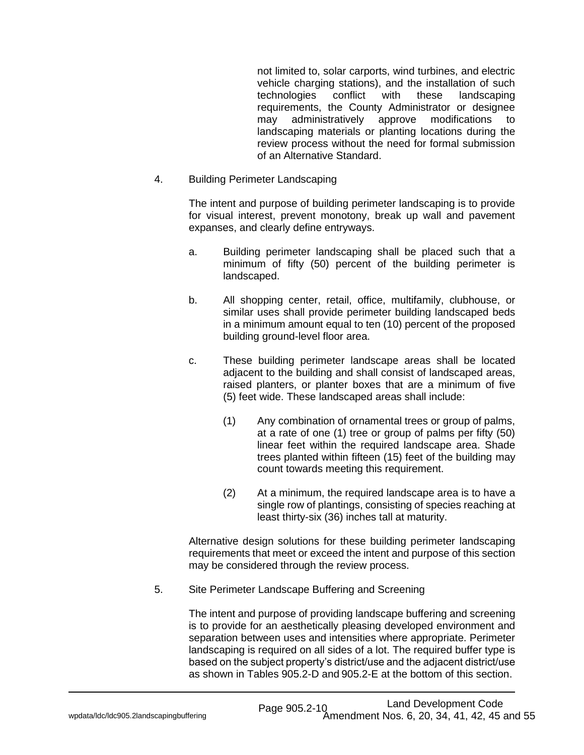not limited to, solar carports, wind turbines, and electric vehicle charging stations), and the installation of such technologies conflict with these landscaping requirements, the County Administrator or designee may administratively approve modifications to landscaping materials or planting locations during the review process without the need for formal submission of an Alternative Standard.

4. Building Perimeter Landscaping

The intent and purpose of building perimeter landscaping is to provide for visual interest, prevent monotony, break up wall and pavement expanses, and clearly define entryways.

- a. Building perimeter landscaping shall be placed such that a minimum of fifty (50) percent of the building perimeter is landscaped.
- b. All shopping center, retail, office, multifamily, clubhouse, or similar uses shall provide perimeter building landscaped beds in a minimum amount equal to ten (10) percent of the proposed building ground-level floor area.
- c. These building perimeter landscape areas shall be located adjacent to the building and shall consist of landscaped areas, raised planters, or planter boxes that are a minimum of five (5) feet wide. These landscaped areas shall include:
	- (1) Any combination of ornamental trees or group of palms, at a rate of one (1) tree or group of palms per fifty (50) linear feet within the required landscape area. Shade trees planted within fifteen (15) feet of the building may count towards meeting this requirement.
	- (2) At a minimum, the required landscape area is to have a single row of plantings, consisting of species reaching at least thirty-six (36) inches tall at maturity.

Alternative design solutions for these building perimeter landscaping requirements that meet or exceed the intent and purpose of this section may be considered through the review process.

5. Site Perimeter Landscape Buffering and Screening

The intent and purpose of providing landscape buffering and screening is to provide for an aesthetically pleasing developed environment and separation between uses and intensities where appropriate. Perimeter landscaping is required on all sides of a lot. The required buffer type is based on the subject property's district/use and the adjacent district/use as shown in Tables 905.2-D and 905.2-E at the bottom of this section.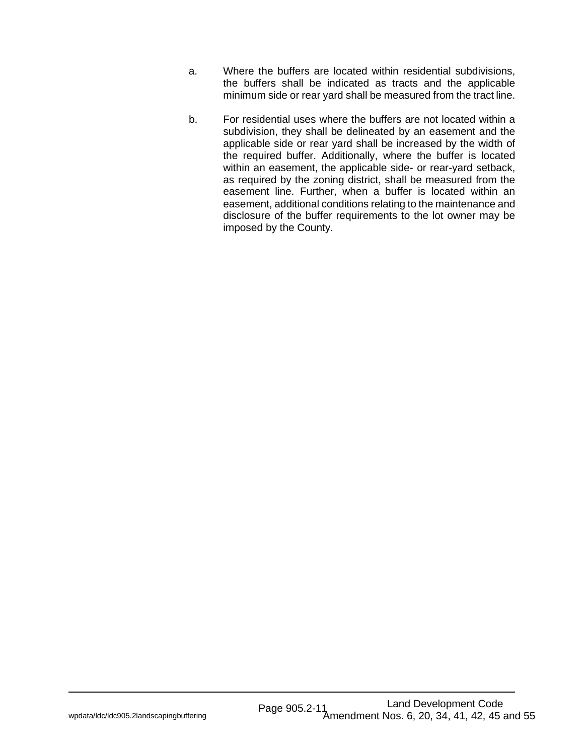- a. Where the buffers are located within residential subdivisions, the buffers shall be indicated as tracts and the applicable minimum side or rear yard shall be measured from the tract line.
- b. For residential uses where the buffers are not located within a subdivision, they shall be delineated by an easement and the applicable side or rear yard shall be increased by the width of the required buffer. Additionally, where the buffer is located within an easement, the applicable side- or rear-yard setback, as required by the zoning district, shall be measured from the easement line. Further, when a buffer is located within an easement, additional conditions relating to the maintenance and disclosure of the buffer requirements to the lot owner may be imposed by the County.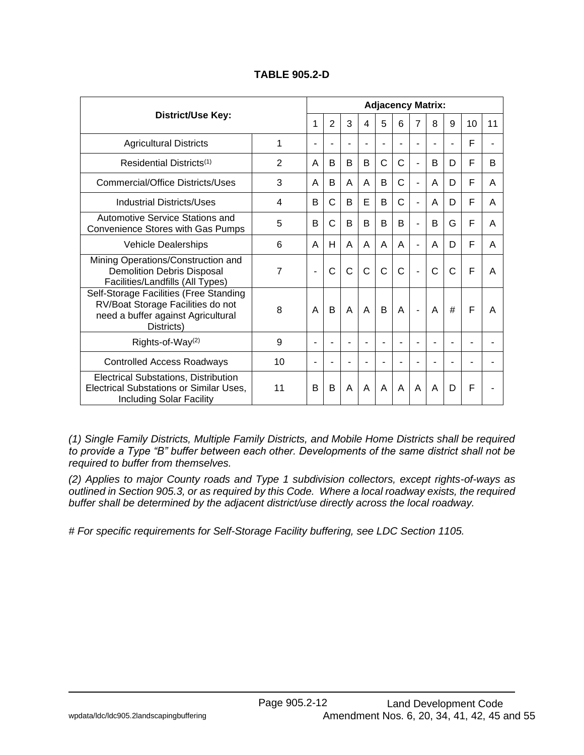|                                                                                                                                 |    |                | <b>Adjacency Matrix:</b> |                |                          |              |   |                          |   |   |    |    |
|---------------------------------------------------------------------------------------------------------------------------------|----|----------------|--------------------------|----------------|--------------------------|--------------|---|--------------------------|---|---|----|----|
| District/Use Key:                                                                                                               |    | 1              | $\overline{2}$           | 3              | 4                        | 5            | 6 | 7                        | 8 | 9 | 10 | 11 |
| <b>Agricultural Districts</b>                                                                                                   | 1  | ۰              | $\blacksquare$           | $\blacksquare$ | $\overline{\phantom{a}}$ | ÷            | ۰ | ۰                        | ۰ |   | F  |    |
| Residential Districts <sup>(1)</sup>                                                                                            | 2  | A              | B                        | B              | B                        | C            | С | L,                       | B | D | F  | B  |
| Commercial/Office Districts/Uses                                                                                                | 3  | A              | B                        | A              | A                        | B            | C | $\blacksquare$           | A | D | F  | A  |
| 4<br>Industrial Districts/Uses                                                                                                  |    |                | C                        | B              | E                        | B            | C | ÷,                       | A | D | F  | A  |
| Automotive Service Stations and<br>Convenience Stores with Gas Pumps                                                            | 5  | B              | C                        | B              | B                        | B            | B | $\blacksquare$           | B | G | F  | A  |
| Vehicle Dealerships                                                                                                             | 6  | A              | H                        | A              | A                        | A            | A | ÷,                       | A | D | F  | A  |
| Mining Operations/Construction and<br><b>Demolition Debris Disposal</b><br>Facilities/Landfills (All Types)                     | 7  | $\blacksquare$ | C                        | $\overline{C}$ | $\overline{C}$           | $\mathsf{C}$ | C | $\overline{\phantom{0}}$ | Ċ | C | F  | A  |
| Self-Storage Facilities (Free Standing<br>RV/Boat Storage Facilities do not<br>need a buffer against Agricultural<br>Districts) | 8  | A              | B                        | A              | A                        | B            | A | $\overline{a}$           | A | # | F  | A  |
| Rights-of-Way <sup>(2)</sup>                                                                                                    | 9  | ٠              | $\blacksquare$           | $\blacksquare$ | ÷,                       |              |   |                          |   |   |    |    |
| <b>Controlled Access Roadways</b>                                                                                               | 10 |                |                          |                |                          |              |   |                          |   |   |    |    |
| Electrical Substations, Distribution<br>Electrical Substations or Similar Uses,<br><b>Including Solar Facility</b>              | 11 | B              | B                        | A              | A                        | A            | A | A                        | A | D | F  |    |

# **TABLE 905.2-D**

*(1) Single Family Districts, Multiple Family Districts, and Mobile Home Districts shall be required to provide a Type "B" buffer between each other. Developments of the same district shall not be required to buffer from themselves.*

*(2) Applies to major County roads and Type 1 subdivision collectors, except rights-of-ways as outlined in Section 905.3, or as required by this Code. Where a local roadway exists, the required buffer shall be determined by the adjacent district/use directly across the local roadway.*

*# For specific requirements for Self-Storage Facility buffering, see LDC Section 1105.*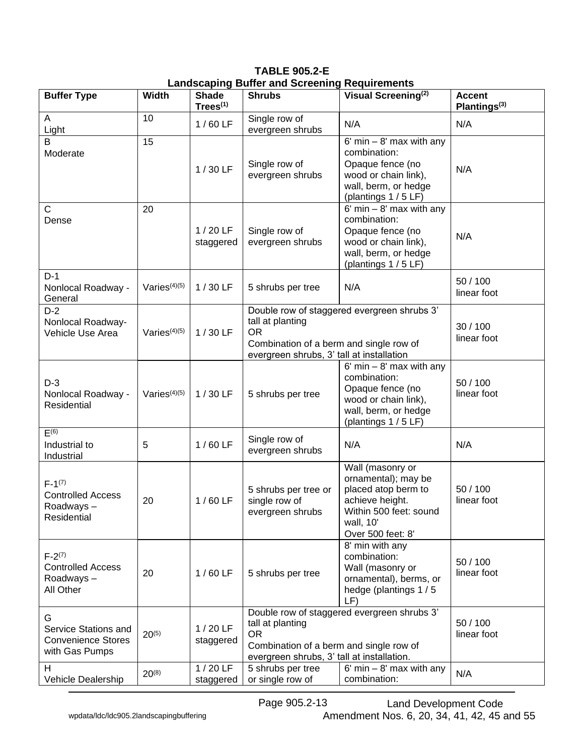**TABLE 905.2-E Landscaping Buffer and Screening Requirements**

| <b>Buffer Type</b>                                                       | <b>Width</b>    | <b>Shade</b><br>$Trees^{(1)}$ | <b>Shrubs</b>                                                                                                                                                         | Visual Screening <sup>(2)</sup>                                                                                                               | <b>Accent</b><br>Plantings <sup>(3)</sup> |  |
|--------------------------------------------------------------------------|-----------------|-------------------------------|-----------------------------------------------------------------------------------------------------------------------------------------------------------------------|-----------------------------------------------------------------------------------------------------------------------------------------------|-------------------------------------------|--|
| A<br>Light                                                               | 10              | $1/60$ LF                     | Single row of<br>evergreen shrubs                                                                                                                                     | N/A                                                                                                                                           | N/A                                       |  |
| B<br>Moderate                                                            | 15              | $1/30$ LF                     | Single row of<br>evergreen shrubs                                                                                                                                     | $6'$ min $-8'$ max with any<br>combination:<br>Opaque fence (no<br>wood or chain link),<br>wall, berm, or hedge<br>(plantings 1 / 5 LF)       | N/A                                       |  |
| $\mathsf{C}$<br>Dense                                                    | 20              | $1/20$ LF<br>staggered        | Single row of<br>evergreen shrubs                                                                                                                                     | $6'$ min $-8'$ max with any<br>combination:<br>Opaque fence (no<br>wood or chain link),<br>wall, berm, or hedge<br>(plantings 1 / 5 LF)       | N/A                                       |  |
| $D-1$<br>Nonlocal Roadway -<br>General                                   | Varies $(4)(5)$ | $1/30$ LF                     | 5 shrubs per tree                                                                                                                                                     | N/A                                                                                                                                           | 50 / 100<br>linear foot                   |  |
| $D-2$<br>Nonlocal Roadway-<br>Vehicle Use Area                           | Varies $(4)(5)$ | $1/30$ LF                     | Double row of staggered evergreen shrubs 3'<br>tall at planting<br><b>OR</b><br>Combination of a berm and single row of<br>evergreen shrubs, 3' tall at installation  | 30/100<br>linear foot                                                                                                                         |                                           |  |
| $D-3$<br>Nonlocal Roadway -<br>Residential                               | Varies $(4)(5)$ | $1/30$ LF                     | 5 shrubs per tree                                                                                                                                                     | $6'$ min $- 8'$ max with any<br>combination:<br>Opaque fence (no<br>wood or chain link),<br>wall, berm, or hedge<br>(plantings 1 / 5 LF)      | 50 / 100<br>linear foot                   |  |
| E(6)<br>Industrial to<br>Industrial                                      | 5               | $1/60$ LF                     | Single row of<br>evergreen shrubs                                                                                                                                     | N/A                                                                                                                                           | N/A                                       |  |
| $F-1^{(7)}$<br><b>Controlled Access</b><br>Roadways-<br>Residential      | 20              | $1/60$ LF                     | 5 shrubs per tree or<br>single row of<br>evergreen shrubs                                                                                                             | Wall (masonry or<br>ornamental); may be<br>placed atop berm to<br>achieve height.<br>Within 500 feet: sound<br>wall, 10'<br>Over 500 feet: 8' | 50 / 100<br>linear foot                   |  |
| $F-2^{(7)}$<br><b>Controlled Access</b><br>Roadways-<br>All Other        | 20              | $1/60$ LF                     | 5 shrubs per tree                                                                                                                                                     | 8' min with any<br>combination:<br>Wall (masonry or<br>ornamental), berms, or<br>hedge (plantings 1/5<br>LF)                                  | 50/100<br>linear foot                     |  |
| G<br>Service Stations and<br><b>Convenience Stores</b><br>with Gas Pumps | $20^{(5)}$      | $1/20$ LF<br>staggered        | Double row of staggered evergreen shrubs 3'<br>tall at planting<br><b>OR</b><br>Combination of a berm and single row of<br>evergreen shrubs, 3' tall at installation. | 50 / 100<br>linear foot                                                                                                                       |                                           |  |
| H<br>Vehicle Dealership                                                  | $20^{(8)}$      | $1/20$ LF<br>staggered        | 5 shrubs per tree<br>or single row of                                                                                                                                 | $6'$ min $- 8'$ max with any<br>combination:                                                                                                  | N/A                                       |  |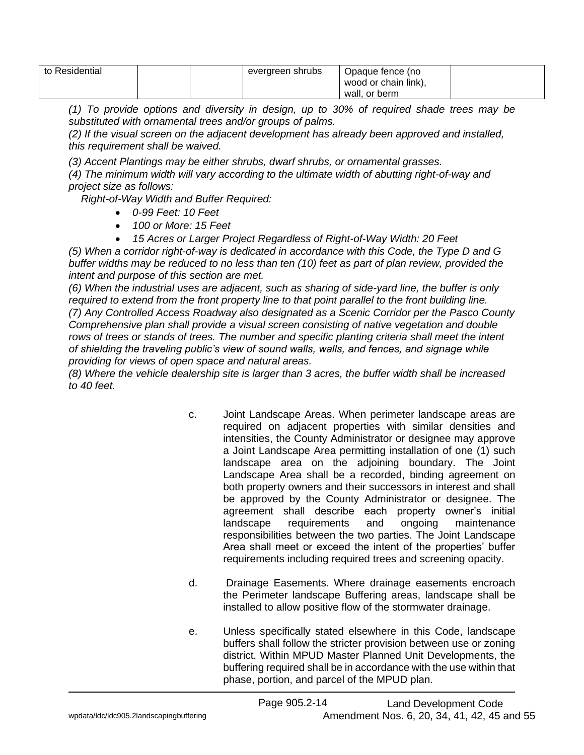| to Residential |  | evergreen shrubs | Opaque fence (no     |  |
|----------------|--|------------------|----------------------|--|
|                |  |                  | wood or chain link), |  |
|                |  |                  | wall, or berm        |  |

*(1) To provide options and diversity in design, up to 30% of required shade trees may be substituted with ornamental trees and/or groups of palms.*

*(2) If the visual screen on the adjacent development has already been approved and installed, this requirement shall be waived.*

*(3) Accent Plantings may be either shrubs, dwarf shrubs, or ornamental grasses.*

*(4) The minimum width will vary according to the ultimate width of abutting right-of-way and project size as follows:*

*Right-of-Way Width and Buffer Required:*

- *0-99 Feet: 10 Feet*
- *100 or More: 15 Feet*
- *15 Acres or Larger Project Regardless of Right-of-Way Width: 20 Feet*

*(5) When a corridor right-of-way is dedicated in accordance with this Code, the Type D and G buffer widths may be reduced to no less than ten (10) feet as part of plan review, provided the intent and purpose of this section are met.*

*(6) When the industrial uses are adjacent, such as sharing of side-yard line, the buffer is only required to extend from the front property line to that point parallel to the front building line. (7) Any Controlled Access Roadway also designated as a Scenic Corridor per the Pasco County Comprehensive plan shall provide a visual screen consisting of native vegetation and double rows of trees or stands of trees. The number and specific planting criteria shall meet the intent of shielding the traveling public's view of sound walls, walls, and fences, and signage while providing for views of open space and natural areas.* 

*(8) Where the vehicle dealership site is larger than 3 acres, the buffer width shall be increased to 40 feet.*

- c. Joint Landscape Areas. When perimeter landscape areas are required on adjacent properties with similar densities and intensities, the County Administrator or designee may approve a Joint Landscape Area permitting installation of one (1) such landscape area on the adjoining boundary. The Joint Landscape Area shall be a recorded, binding agreement on both property owners and their successors in interest and shall be approved by the County Administrator or designee. The agreement shall describe each property owner's initial landscape requirements and ongoing maintenance responsibilities between the two parties. The Joint Landscape Area shall meet or exceed the intent of the properties' buffer requirements including required trees and screening opacity.
- d. Drainage Easements. Where drainage easements encroach the Perimeter landscape Buffering areas, landscape shall be installed to allow positive flow of the stormwater drainage.
- e. Unless specifically stated elsewhere in this Code, landscape buffers shall follow the stricter provision between use or zoning district. Within MPUD Master Planned Unit Developments, the buffering required shall be in accordance with the use within that phase, portion, and parcel of the MPUD plan.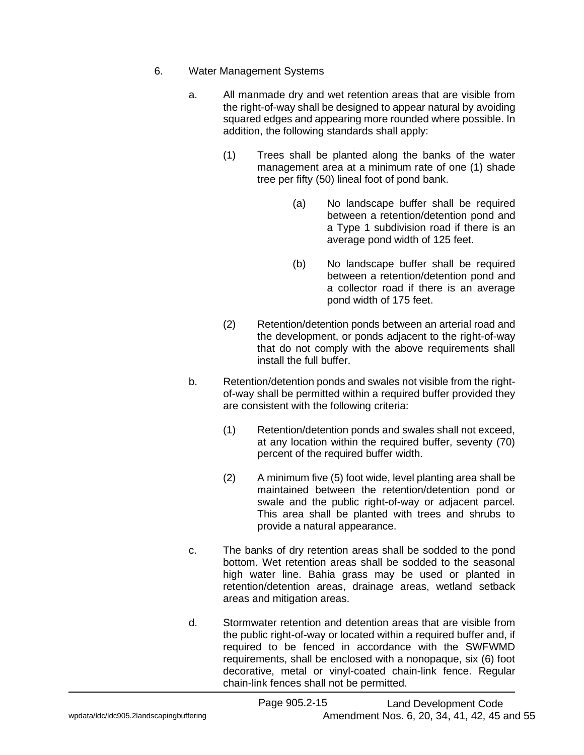- 6. Water Management Systems
	- a. All manmade dry and wet retention areas that are visible from the right-of-way shall be designed to appear natural by avoiding squared edges and appearing more rounded where possible. In addition, the following standards shall apply:
		- (1) Trees shall be planted along the banks of the water management area at a minimum rate of one (1) shade tree per fifty (50) lineal foot of pond bank.
			- (a) No landscape buffer shall be required between a retention/detention pond and a Type 1 subdivision road if there is an average pond width of 125 feet.
			- (b) No landscape buffer shall be required between a retention/detention pond and a collector road if there is an average pond width of 175 feet.
		- (2) Retention/detention ponds between an arterial road and the development, or ponds adjacent to the right-of-way that do not comply with the above requirements shall install the full buffer.
	- b. Retention/detention ponds and swales not visible from the rightof-way shall be permitted within a required buffer provided they are consistent with the following criteria:
		- (1) Retention/detention ponds and swales shall not exceed, at any location within the required buffer, seventy (70) percent of the required buffer width.
		- (2) A minimum five (5) foot wide, level planting area shall be maintained between the retention/detention pond or swale and the public right-of-way or adjacent parcel. This area shall be planted with trees and shrubs to provide a natural appearance.
	- c. The banks of dry retention areas shall be sodded to the pond bottom. Wet retention areas shall be sodded to the seasonal high water line. Bahia grass may be used or planted in retention/detention areas, drainage areas, wetland setback areas and mitigation areas.
	- d. Stormwater retention and detention areas that are visible from the public right-of-way or located within a required buffer and, if required to be fenced in accordance with the SWFWMD requirements, shall be enclosed with a nonopaque, six (6) foot decorative, metal or vinyl-coated chain-link fence. Regular chain-link fences shall not be permitted.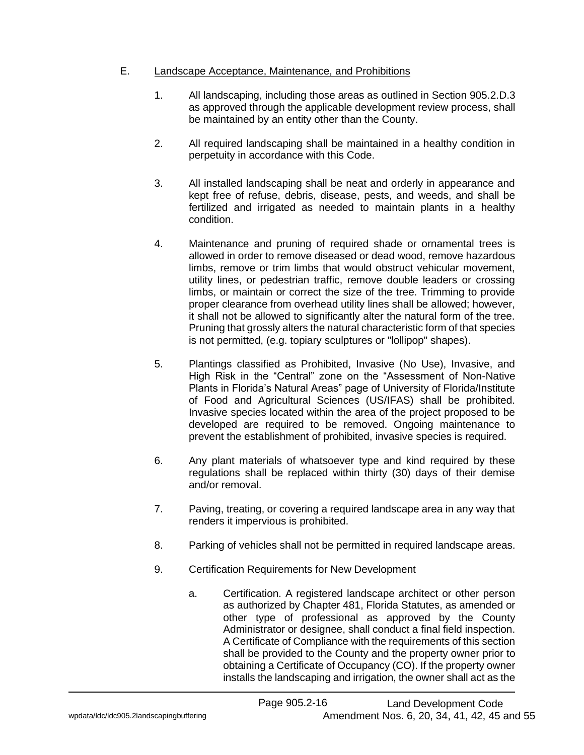# E. Landscape Acceptance, Maintenance, and Prohibitions

- 1. All landscaping, including those areas as outlined in Section 905.2.D.3 as approved through the applicable development review process, shall be maintained by an entity other than the County.
- 2. All required landscaping shall be maintained in a healthy condition in perpetuity in accordance with this Code.
- 3. All installed landscaping shall be neat and orderly in appearance and kept free of refuse, debris, disease, pests, and weeds, and shall be fertilized and irrigated as needed to maintain plants in a healthy condition.
- 4. Maintenance and pruning of required shade or ornamental trees is allowed in order to remove diseased or dead wood, remove hazardous limbs, remove or trim limbs that would obstruct vehicular movement, utility lines, or pedestrian traffic, remove double leaders or crossing limbs, or maintain or correct the size of the tree. Trimming to provide proper clearance from overhead utility lines shall be allowed; however, it shall not be allowed to significantly alter the natural form of the tree. Pruning that grossly alters the natural characteristic form of that species is not permitted, (e.g. topiary sculptures or "lollipop" shapes).
- 5. Plantings classified as Prohibited, Invasive (No Use), Invasive, and High Risk in the "Central" zone on the "Assessment of Non-Native Plants in Florida's Natural Areas" page of University of Florida/Institute of Food and Agricultural Sciences (US/IFAS) shall be prohibited. Invasive species located within the area of the project proposed to be developed are required to be removed. Ongoing maintenance to prevent the establishment of prohibited, invasive species is required.
- 6. Any plant materials of whatsoever type and kind required by these regulations shall be replaced within thirty (30) days of their demise and/or removal.
- 7. Paving, treating, or covering a required landscape area in any way that renders it impervious is prohibited.
- 8. Parking of vehicles shall not be permitted in required landscape areas.
- 9. Certification Requirements for New Development
	- a. Certification. A registered landscape architect or other person as authorized by Chapter 481, Florida Statutes, as amended or other type of professional as approved by the County Administrator or designee, shall conduct a final field inspection. A Certificate of Compliance with the requirements of this section shall be provided to the County and the property owner prior to obtaining a Certificate of Occupancy (CO). If the property owner installs the landscaping and irrigation, the owner shall act as the